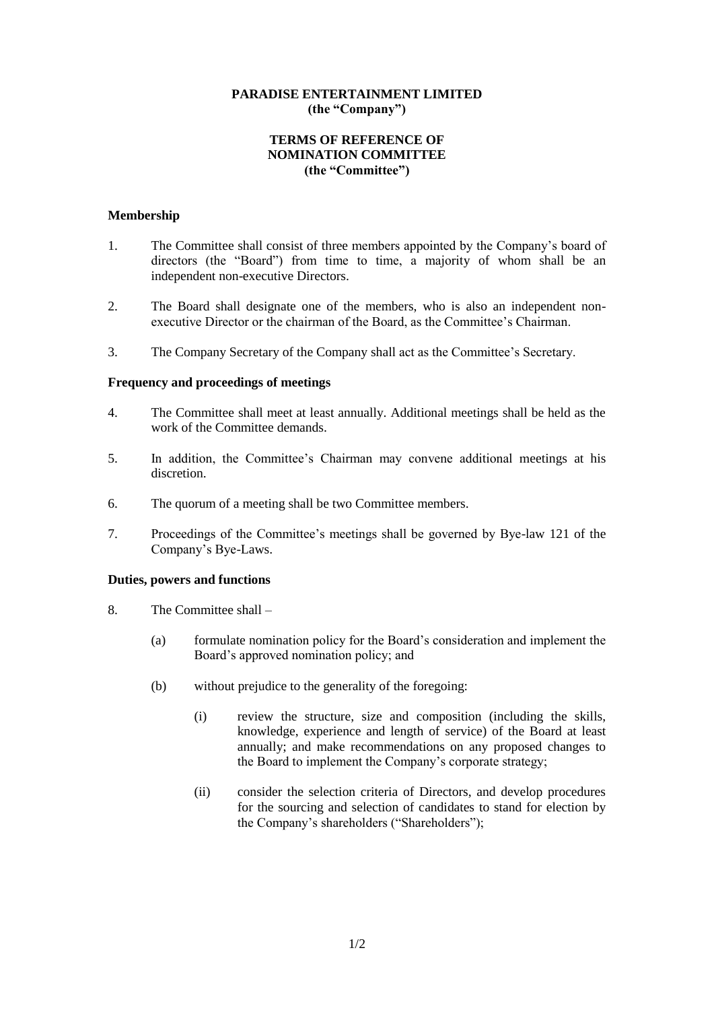## **PARADISE ENTERTAINMENT LIMITED (the "Company")**

# **TERMS OF REFERENCE OF NOMINATION COMMITTEE (the "Committee")**

### **Membership**

- 1. The Committee shall consist of three members appointed by the Company's board of directors (the "Board") from time to time, a majority of whom shall be an independent non-executive Directors.
- 2. The Board shall designate one of the members, who is also an independent nonexecutive Director or the chairman of the Board, as the Committee's Chairman.
- 3. The Company Secretary of the Company shall act as the Committee's Secretary.

### **Frequency and proceedings of meetings**

- 4. The Committee shall meet at least annually. Additional meetings shall be held as the work of the Committee demands.
- 5. In addition, the Committee's Chairman may convene additional meetings at his discretion.
- 6. The quorum of a meeting shall be two Committee members.
- 7. Proceedings of the Committee's meetings shall be governed by Bye-law 121 of the Company's Bye-Laws.

### **Duties, powers and functions**

- 8. The Committee shall
	- (a) formulate nomination policy for the Board's consideration and implement the Board's approved nomination policy; and
	- (b) without prejudice to the generality of the foregoing:
		- (i) review the structure, size and composition (including the skills, knowledge, experience and length of service) of the Board at least annually; and make recommendations on any proposed changes to the Board to implement the Company's corporate strategy;
		- (ii) consider the selection criteria of Directors, and develop procedures for the sourcing and selection of candidates to stand for election by the Company's shareholders ("Shareholders");